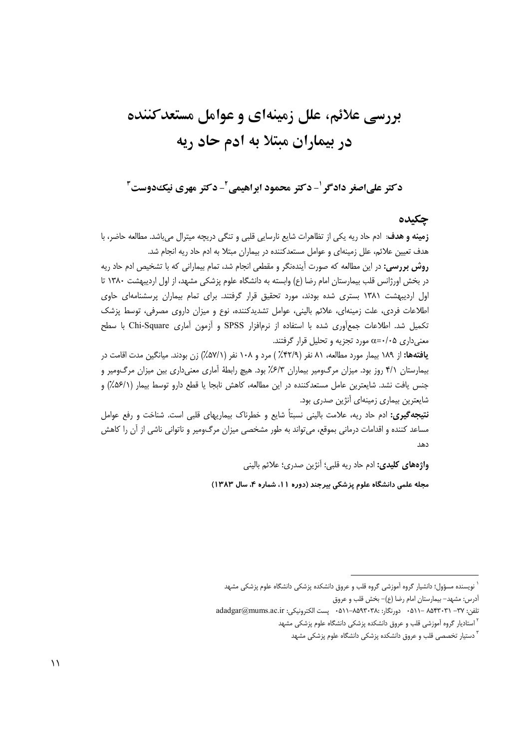# بررسی علائم، علل زمینهای و عوامل مستعدکننده در بیماران مبتلا به ادم حاد ریه

دکتر علي|صغر دادگر '- دکتر محمود ابراهيمي '- دکتر مهري نيکدوست '

## جكىدە

**زمینه و هدف**: ادم حاد ریه یکی از تظاهرات شایع نارسایی قلبی و تنگی دریچه میترال میباشد. مطالعه حاضر، با هدف تعیین علائم، علل زمینهای و عوامل مستعدکننده در بیماران مبتلا به ادم حاد ریه انجام شد. **روش بررسی:** در این مطالعه که صورت آیندهنگر و مقطعی انجام شد، تمام بیمارانی که با تشخیص ادم حاد ریه

در بخش اورژانس قلب بیمارستان امام رضا (ع) وابسته به دانشگاه علوم پزشکی مشهد، از اول اردیبهشت ۱۳۸۰ تا اول اردیبهشت ۱۳۸۱ بستری شده بودند، مورد تحقیق قرار گرفتند. برای تمام بیماران پرسشنامهای حاوی اطلاعات فردی، علت زمینهای، علائم بالینی، عوامل تشدیدکننده، نوع و میزان داروی مصرفی، توسط پزشک تكميل شد. اطلاعات جمع آوري شده با استفاده از نرمافزار SPSS و آزمون آماري Chi-Square با سطح معنیداری ۵+۰/۰=c مورد تجزیه و تحلیل قرار گرفتند.

**یافتهها:** از ۱۸۹ بیمار مورد مطالعه، ۸۱ نفر (۴۲/۹٪) مرد و ۱۰۸ نفر (۵۷/۱٪) زن بودند. میانگین مدت اقامت در بیمارستان ۴/۱ روز بود. میزان مرگ0میر بیماران ۶/۳٪ بود. هیچ رابطهٔ اَماری معنیداری بین میزان مرگ0میر و جنس یافت نشد. شایعترین عامل مستعدکننده در این مطالعه، کاهش نابجا یا قطع دارو توسط بیمار (۵۶/۱٪) و شایعترین بیماری زمینهای آنژین صدری بود.

**نتیجهگیری:** ادم حاد ریه، علامت بالینی نسبتاً شایع و خطرناک بیماریهای قلبی است. شناخت و رفع عوامل مساعد کننده و اقدامات درمانی بموقع، می¤واند به طور مشخصی میزان مرگ<code>ومیر</code> و ناتوانی ناشی از آن را کاهش  $10.3$ 

**واژههای کلیدی:** ادم حاد ریه قلبی؛ آنژین صدری؛ علائم بالینی

مجله علمی دانشگاه علوم پزشکی بیرجند (دوره ۱۱، شماره ۴، سال ۱۳۸۳)

نویسنده مسؤول؛ دانشیار گروه آموزشی گروه قلب و عروق دانشکده پزشکی دانشگاه علوم پزشکی مشهد

آدرس: مشهد- بیمارستان امام رضا (ع)– بخش قلب و عروق

تلفن: TV- ٨٥۴٣٠٣١ -٨٥١١ - دورنگار: ٨٥٩٣٠٣٨٠-٨١١ ٠ ليست الكترونيكي: adadgar@mums.ac.ir

<sup>&</sup>lt;sup>۲</sup> استادیار گروه آموزشی قلب و عروق دانشکده پزشکی دانشگاه علوم پزشکی مشهد

<sup>&</sup>lt;sup>۳</sup> دستیار تخصصی قلب و عروق دانشکده پزشکی دانشگاه علوم پزشکی مشهد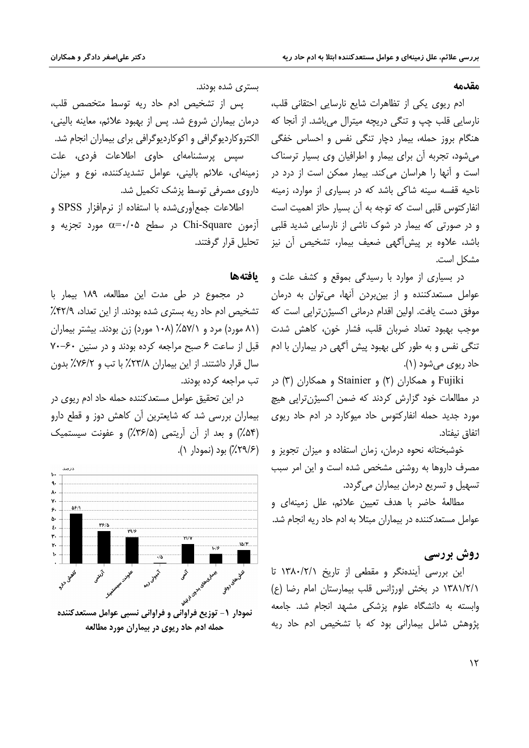#### مقدمه

ادم ریوی یکی از تظاهرات شایع نارسایی احتقانی قلب، نارسایی قلب چپ و تنگی دریچه میترال میباشد. از آنجا که هنگام بروز حمله، بیمار دچار تنگی نفس و احساس خفگی می شود، تجربه آن برای بیمار و اطرافیان وی بسیار ترسناک است و آنها را هراسان می کند. بیمار ممکن است از درد در ناحیه قفسه سینه شاکی باشد که در بسیاری از موارد، زمینه انفاركتوس قلبي است كه توجه به آن بسيار حائز اهميت است و در صورتی که بیمار در شوک ناشی از نارسایی شدید قلبی باشد، علاوه بر پیش[گهی ضعیف بیمار، تشخیص آن نیز مشكل است.

در بسیاری از موارد با رسیدگی بموقع و کشف علت و عوامل مستعدكننده و از بين بردن آنها، مى توان به درمان موفق دست یافت. اولین اقدام درمانی اکسیژن ترایی است که موجب بهبود تعداد ضربان قلب، فشار خون، كاهش شدت تنگی نفس و به طور کلی بهبود پیش آگهی در بیماران با ادم حاد ريوي مي شود (١).

Fujiki و همکاران (۲) و Stainier و همکاران (۳) در در مطالعات خود گزارش کردند که ضمن اکسیژنترایی هیچ مورد جدید حمله انفارکتوس حاد میوکارد در ادم حاد ریوی اتفاق نيفتاد.

خوشبختانه نحوه درمان، زمان استفاده و میزان تجویز و مصرف داروها به روشنی مشخص شده است و این امر سبب تسهيل و تسريع درمان بيماران مي گردد.

مطالعهٔ حاضر با هدف تعیین علائم، علل زمینهای و عوامل مستعدکننده در بیماران مبتلا به ادم حاد ریه انجام شد.

# روش بررسي

این بررسی آیندهنگر و مقطعی از تاریخ ۱۳۸۰/۲/۱ تا ١٣٨١/٢/١ در بخش اورژانس قلب بيمارستان امام رضا (ع) وابسته به دانشگاه علوم پزشکی مشهد انجام شد. جامعه یژوهش شامل بیمارانی بود که با تشخیص ادم حاد ریه

بستری شده بودند.

پس از تشخیص ادم حاد ریه توسط متخصص قلب، درمان بيماران شروع شد. پس از بهبود علائم، معاينه باليني، الکتروکاردیوگرافی و اکوکاردیوگرافی برای بیماران انجام شد. سیس پرسشنامهای حاوی اطلاعات فردی، علت زمینهای، علائم بالینی، عوامل تشدیدکننده، نوع و میزان داروی مصرفی توسط یزشک تکمیل شد.

اطلاعات جمع آوری شده با استفاده از نرمافزار SPSS و آزمون Chi-Square در سطح ۵+/۰+=c مورد تجزیه و تحلیل قرار گرفتند.

### بافتهها

در مجموع در طی مدت این مطالعه، ۱۸۹ بیمار با تشخیص ادم حاد ریه بستری شده بودند. از این تعداد، ۴۲/۹٪ (۸۱ مورد) مرد و ۵۷/۱٪ (۱۰۸ مورد) زن بودند. بیشتر بیماران سال قرار داشتند. از این بیماران ۲۳/۸٪ با تب و ۷۶/۲٪ بدون تب مراجعه کرده بودند.

در این تحقیق عوامل مستعدکننده حمله حاد ادم ریوی در بیماران بررسی شد که شایعترین آن کاهش دوز و قطع دارو (۵۴٪) و بعد از آن آریتمی (۳۶/۵٪) و عفونت سیستمیک (۲۹/۶٪) بود (نمودار ۱).



حمله ادم حاد ریوی در بیماران مورد مطالعه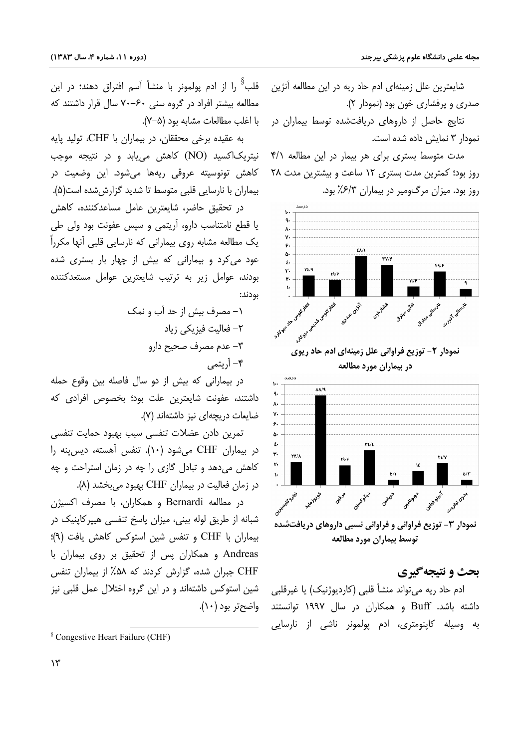شایعترین علل زمینهای ادم حاد ریه در این مطالعه آنژین صدری و پرفشاری خون بود (نمودار ۲).

نتایج حاصل از داروهای دریافتشده توسط بیماران در نمودار ٣ نمايش داده شده است.

مدت متوسط بستری برای هر بیمار در این مطالعه ۴/۱ روز بود؛ کمترین مدت بستری ١٢ ساعت و بیشترین مدت ٢٨ روز بود. میزان مرگ0میر در بیماران ۶/۳٪ بود.





نمودار ۳- توزیع فراوانی و فراوانی نسبی داروهای دریافتشده توسط بيماران مورد مطالعه

# بحث و نتيجه گيري

ادم حاد ریه می¤واند منشأ قلبی (کاردیوژنیک) یا غیرقلبی داشته باشد. Buff و همکاران در سال ۱۹۹۷ توانستند واضحتر بود (۱۰). به وسیله کاپنومتری، ادم پولمونر ناشی از نارسایی

قلب<sup>8</sup> را از ادم یولمونر با منشأ آسم افتراق دهند؛ در این مطالعه بیشتر افراد در گروه سنی ۶۰–۷۰ سال قرار داشتند که با اغلب مطالعات مشابه بود (۵–۷).

به عقیده برخی محققان، در بیماران با CHF، تولید پایه نیتریک|کسید (NO) کاهش می!بد و در نتیجه موجب کاهش تونوسیته عروقی ریهها میشود. این وضعیت در بیماران با نارسایی قلبی متوسط تا شدید گزارش شده است(۵).

در تحقیق حاضر، شایعترین عامل مساعدکننده، کاهش یا قطع نامتناسب دارو، آریتمی و سپس عفونت بود ولی طی یک مطالعه مشابه روی بیمارانی که نارسایی قلبی آنها مکرراً عود می کرد و بیمارانی که بیش از چهار بار بستری شده بودند، عوامل زیر به ترتیب شایعترین عوامل مستعدکننده بودند:

> ١- مصرف بيش از حد آب و نمک ٢– فعالیت فیزیکی زیاد ٣- عدم مصرف صحيح دارو ۴– آریتمی

در بیمارانی که بیش از دو سال فاصله بین وقوع حمله داشتند، عفونت شایعترین علت بود؛ بخصوص افرادی که ضايعات دريجهاي نيز داشتهاند (٧).

تمرين دادن عضلات تنفسى سبب بهبود حمايت تنفسى در بیماران CHF می شود (۱۰). تنفس آهسته، دیس پنه را کاهش می دهد و تبادل گازی را چه در زمان استراحت و چه در زمان فعالیت در بیماران CHF بهبود میبخشد (۸).

در مطالعه Bernardi و همكاران، با مصرف اكسيژن شبانه از طریق لوله بینی، میزان پاسخ تنفسی هیپرکاینیک در بیماران با CHF و تنفس شین استوکس کاهش یافت (۹)؛ Andreas و همکاران پس از تحقیق بر روی بیماران با CHF جبران شده، گزارش کردند که ۵۸٪ از بیماران تنفس شین استوکس داشتهاند و در این گروه اختلال عمل قلبی نیز

<sup>&</sup>lt;sup>§</sup> Congestive Heart Failure (CHF)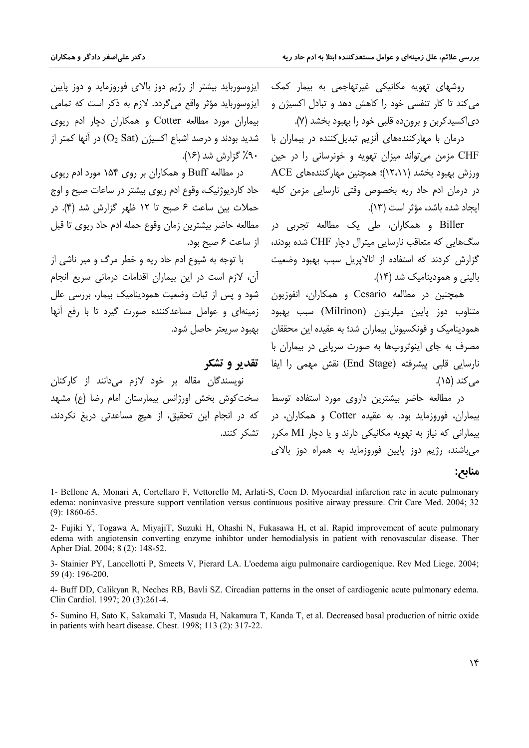روشهای تهویه مکانیکی غیرتهاجمی به بیمار کمک ایزوسورباید بیشتر از رژیم دوز بالای فوروزماید و دوز پایین می کند تا کار تنفسی خود را کاهش دهد و تبادل اکسیژن و دی|کسیدکربن و برون ده قلبی خود را بهبود بخشد (۷).

> درمان با مهارکنندههای آنزیم تبدیل *ک*ننده در بیماران با CHF مزمن مي تواند ميزان تھويه و خونرساني را در حين ورزش بهبود بخشد (۱۲،۱۱)؛ همچنین مهارکنندههای ACE در درمان ادم حاد ریه بخصوص وقتی نارسایی مزمن کلیه ايجاد شده باشد، مؤثر است (١٣).

Biller و همکاران، طی یک مطالعه تجربی در سگ@ایی که متعاقب نارسایی میترال دچار CHF شده بودند، از ساعت ۶ صبح بود. گزارش کردند که استفاده از انالایریل سبب بهبود وضعیت بالبني و هموديناميک شد (١۴).

همچنین در مطالعه Cesario و همکاران، انفوزیون متناوب دوز پایین میلرینون (Milrinon) سبب بهبود همودینامیک و فونکسیونل بیماران شد؛ به عقیده این محققان ۱۰ بهبود سریعتر حاصل شود. مصرف به جای اینوتروپها به صورت سریایی در بیماران با نارسایی قلبی پیشرفته (End Stage) نقش مهمی را ایفا مے کند (۱۵).

> بیماران، فوروزماید بود. به عقیده Cotter و همکاران، در بیمارانی که نیاز به تهویه مکانیکی دارند و با دچار MI مکرر می باشند، رژیم دوز پایین فوروزماید به همراه دوز بالای

ايزوسوربايد مؤثر واقع مي گردد. لازم به ذكر است كه تمامي بیماران مورد مطالعه Cotter و همکاران دچار ادم ریوی شدید بودند و درصد اشباع اکسیژن (O2 Sat) در آنها کمتر از ۹۰٪ گزارش شد (۱۶).

در مطالعه Buff و همکاران بر روی ۱۵۴ مورد ادم ریوی حاد کاردیوژنیک، وقوع ادم ریوی بیشتر در ساعات صبح و اوج حملات بين ساعت ۶ صبح تا ١٢ ظهر گزارش شد (۴). در مطالعه حاضر بيشترين زمان وقوع حمله ادم حاد ريوى تا قبل

با توجه به شیوع ادم حاد ریه و خطر مرگ و میر ناشی از آن، لازم است در این بیماران اقدامات درمانی سریع انجام شود و پس از ثبات وضعیت همودینامیک بیمار، بررسی علل زمینهای و عوامل مساعدکننده صورت گیرد تا با رفع آنها

تقدير و تشكر

نویسندگان مقاله بر خود لازم میدانند از کارکنان در مطالعه حاضر بیشترین داروی مورد استفاده توسط ً سختکوش بخش اورژانس بیمارستان امام رضا (ع) مشهد كه در انجام اين تحقيق، از هيچ مساعدتي دريغ نكردند، تشکر کنند.

مناتع:

1- Bellone A, Monari A, Cortellaro F, Vettorello M, Arlati-S, Coen D. Myocardial infarction rate in acute pulmonary edema: noninvasive pressure support ventilation versus continuous positive airway pressure. Crit Care Med. 2004; 32  $(9)$ : 1860-65.

2- Fujiki Y, Togawa A, MiyajiT, Suzuki H, Ohashi N, Fukasawa H, et al. Rapid improvement of acute pulmonary edema with angiotensin converting enzyme inhibtor under hemodialysis in patient with renovascular disease. Ther Apher Dial. 2004; 8 (2): 148-52.

3- Stainier PY, Lancellotti P, Smeets V, Pierard LA. L'oedema aigu pulmonaire cardiogenique. Rev Med Liege. 2004; 59 (4): 196-200.

4- Buff DD, Calikyan R, Neches RB, Bavli SZ. Circadian patterns in the onset of cardiogenic acute pulmonary edema. Clin Cardiol. 1997; 20 (3):261-4.

5- Sumino H, Sato K, Sakamaki T, Masuda H, Nakamura T, Kanda T, et al. Decreased basal production of nitric oxide in patients with heart disease. Chest. 1998; 113 (2): 317-22.